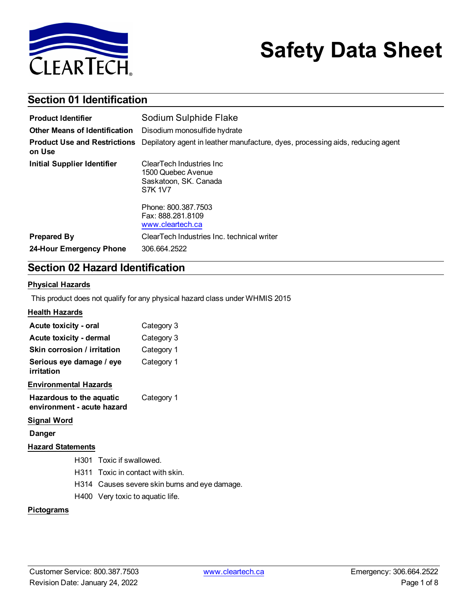

# **Safety Data Sheet**

# **Section 01 Identification**

| <b>Product Identifier</b>                     | Sodium Sulphide Flake                                                                                                                                      |  |  |  |
|-----------------------------------------------|------------------------------------------------------------------------------------------------------------------------------------------------------------|--|--|--|
| <b>Other Means of Identification</b>          | Disodium monosulfide hydrate                                                                                                                               |  |  |  |
| <b>Product Use and Restrictions</b><br>on Use | Depilatory agent in leather manufacture, dyes, processing aids, reducing agent                                                                             |  |  |  |
| <b>Initial Supplier Identifier</b>            | ClearTech Industries Inc.<br>1500 Quebec Avenue<br>Saskatoon, SK. Canada<br><b>S7K 1V7</b><br>Phone: 800.387.7503<br>Fax: 888.281.8109<br>www.cleartech.ca |  |  |  |
| <b>Prepared By</b><br>24-Hour Emergency Phone | ClearTech Industries Inc. technical writer<br>306.664.2522                                                                                                 |  |  |  |

# **Section 02 Hazard Identification**

### **Physical Hazards**

This product does not qualify for any physical hazard class under WHMIS 2015

### **Health Hazards**

| Acute toxicity - oral                                  |                                               | Category 3                  |  |
|--------------------------------------------------------|-----------------------------------------------|-----------------------------|--|
| Acute toxicity - dermal                                |                                               | Category 3                  |  |
| Skin corrosion / irritation                            |                                               | Category 1                  |  |
| Serious eye damage / eye<br>irritation                 |                                               | Category 1                  |  |
| <b>Environmental Hazards</b>                           |                                               |                             |  |
| Hazardous to the aquatic<br>environment - acute hazard |                                               | Category 1                  |  |
| <b>Signal Word</b>                                     |                                               |                             |  |
| Danger                                                 |                                               |                             |  |
| <b>Hazard Statements</b>                               |                                               |                             |  |
|                                                        | H301 Toxic if swallowed.                      |                             |  |
| H311.                                                  |                                               | Toxic in contact with skin. |  |
|                                                        | H314 Causes severe skin burns and eye damage. |                             |  |
|                                                        | H400 Very toxic to aquatic life.              |                             |  |

### **Pictograms**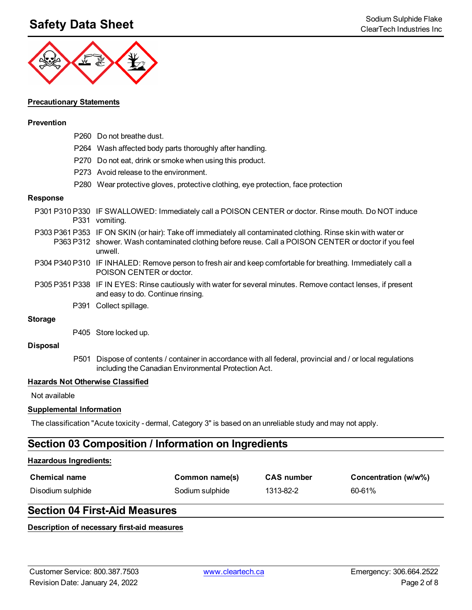# **Safety Data Sheet** Sodium Sulphide Flake Sodium Sulphide Flake Sodium Sulphide Flake Sodium Sulphide Flake Sodium Sulphide Flake Sodium Sulphide Flake Sodium Sulphide Flake Sodium Sulphide Flake Sodium Sulphide Flake Sodi



### **Precautionary Statements**

#### **Prevention**

- P260 Do not breathe dust. P264 Wash affected body parts thoroughly after handling. P270 Do not eat, drink or smoke when using this product. P273 Avoid release to the environment.
- P280 Wear protective gloves, protective clothing, eye protection, face protection

#### **Response**

- P301 P310 P330 IF SWALLOWED: Immediately call a POISON CENTER or doctor. Rinse mouth. Do NOT induce P331 vomiting.
- P303 P361 P353 IF ON SKIN (or hair): Take off immediately all contaminated clothing. Rinse skin with water or P363 P312 shower. Wash contaminated clothing before reuse. Call a POISON CENTER or doctor if you feel unwell.
- P304 P340 P310 IF INHALED: Remove person to fresh air and keep comfortable for breathing. Immediately call a POISON CENTER or doctor.
- P305 P351 P338 IF IN EYES: Rinse cautiously with water for several minutes. Remove contact lenses, if present and easy to do. Continue rinsing.
	- P391 Collect spillage.

#### **Storage**

P405 Store locked up.

#### **Disposal**

P501 Dispose of contents / container in accordance with all federal, provincial and / or local regulations including the Canadian Environmental Protection Act.

#### **Hazards Not Otherwise Classified**

Not available

#### **Supplemental Information**

The classification "Acute toxicity - dermal, Category 3" is based on an unreliable study and may not apply.

### **Section 03 Composition / Information on Ingredients**

#### **Hazardous Ingredients:**

| <b>Chemical name</b> | Common name(s)  | <b>CAS number</b> | Concentration (w/w%) |
|----------------------|-----------------|-------------------|----------------------|
| Disodium sulphide    | Sodium sulphide | 1313-82-2         | 60-61%               |

### **Section 04 First-Aid Measures**

#### **Description of necessary first-aid measures**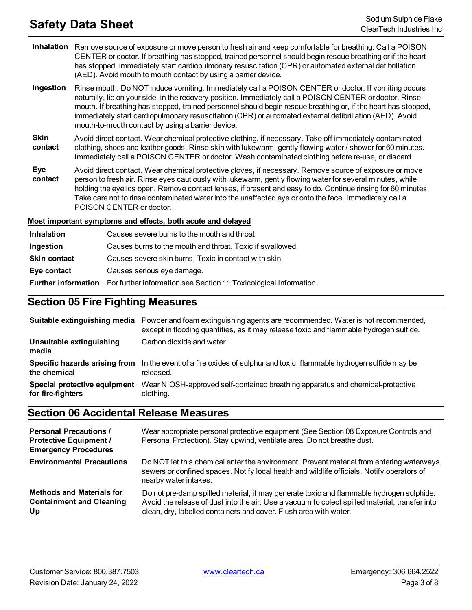# **Safety Data Sheet** Sodium Sulphide Flake Sodium Sulphide Flake Sodium Sulphide Flake Sodium Sulphide Flake Sodium Sulphide Flake Sodium Sulphide Flake Sodium Sulphide Flake Sodium Sulphide Flake Sodium Sulphide Flake Sodi

- **Inhalation** Remove source of exposure or move person to fresh air and keep comfortable for breathing. Call a POISON CENTER or doctor. If breathing has stopped, trained personnel should begin rescue breathing or if the heart has stopped, immediately start cardiopulmonary resuscitation (CPR) or automated external defibrillation (AED). Avoid mouth to mouth contact by using a barrier device.
- **Ingestion** Rinse mouth. Do NOT induce vomiting. Immediately call a POISON CENTER or doctor. If vomiting occurs naturally, lie on your side, in the recovery position. Immediately call a POISON CENTER or doctor. Rinse mouth. If breathing has stopped, trained personnel should begin rescue breathing or, if the heart has stopped, immediately start cardiopulmonary resuscitation (CPR) or automated external defibrillation (AED). Avoid mouth-to-mouth contact by using a barrier device.
- **Skin contact** Avoid direct contact. Wear chemical protective clothing, if necessary. Take off immediately contaminated clothing, shoes and leather goods. Rinse skin with lukewarm, gently flowing water / shower for 60 minutes. Immediately call a POISON CENTER or doctor. Wash contaminated clothing before re-use, or discard.
- **Eye contact** Avoid direct contact. Wear chemical protective gloves, if necessary. Remove source of exposure or move person to fresh air. Rinse eyes cautiously with lukewarm, gently flowing water for several minutes, while holding the eyelids open. Remove contact lenses, if present and easy to do. Continue rinsing for 60 minutes. Take care not to rinse contaminated water into the unaffected eye or onto the face. Immediately call a POISON CENTER or doctor.

### **Most important symptoms and effects, both acute and delayed**

| <b>Inhalation</b>   | Causes severe burns to the mouth and throat.                                                 |  |  |  |
|---------------------|----------------------------------------------------------------------------------------------|--|--|--|
| Ingestion           | Causes burns to the mouth and throat. Toxic if swallowed.                                    |  |  |  |
| <b>Skin contact</b> | Causes severe skin burns. Toxic in contact with skin.                                        |  |  |  |
| Eye contact         | Causes serious eye damage.                                                                   |  |  |  |
|                     | <b>Further information</b> For further information see Section 11 Toxicological Information. |  |  |  |

## **Section 05 Fire Fighting Measures**

|                                                   | Suitable extinguishing media Powder and foam extinguishing agents are recommended. Water is not recommended,<br>except in flooding quantities, as it may release toxic and flammable hydrogen sulfide. |
|---------------------------------------------------|--------------------------------------------------------------------------------------------------------------------------------------------------------------------------------------------------------|
| Unsuitable extinguishing<br>media                 | Carbon dioxide and water                                                                                                                                                                               |
| the chemical                                      | Specific hazards arising from In the event of a fire oxides of sulphur and toxic, flammable hydrogen sulfide may be<br>released.                                                                       |
| Special protective equipment<br>for fire-fighters | Wear NIOSH-approved self-contained breathing apparatus and chemical-protective<br>clothing.                                                                                                            |

### **Section 06 Accidental Release Measures**

| <b>Personal Precautions /</b><br><b>Protective Equipment /</b><br><b>Emergency Procedures</b> | Wear appropriate personal protective equipment (See Section 08 Exposure Controls and<br>Personal Protection). Stay upwind, ventilate area. Do not breathe dust.                                                                                                 |
|-----------------------------------------------------------------------------------------------|-----------------------------------------------------------------------------------------------------------------------------------------------------------------------------------------------------------------------------------------------------------------|
| <b>Environmental Precautions</b>                                                              | Do NOT let this chemical enter the environment. Prevent material from entering waterways,<br>sewers or confined spaces. Notify local health and wildlife officials. Notify operators of<br>nearby water intakes.                                                |
| <b>Methods and Materials for</b><br><b>Containment and Cleaning</b><br>Up                     | Do not pre-damp spilled material, it may generate toxic and flammable hydrogen sulphide.<br>Avoid the release of dust into the air. Use a vacuum to colect spilled material, transfer into<br>clean, dry, labelled containers and cover. Flush area with water. |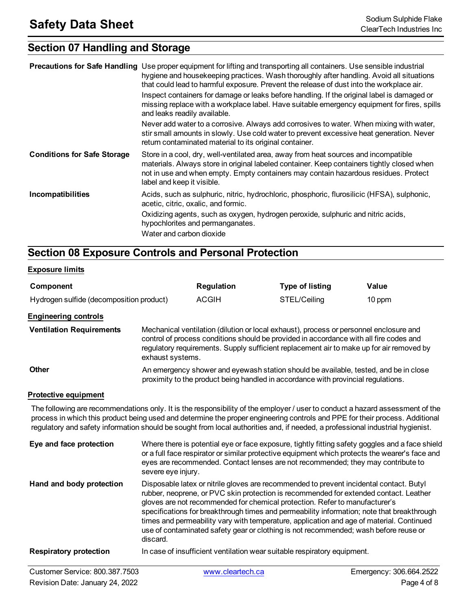# **Section 07 Handling and Storage**

|                                    | <b>Precautions for Safe Handling</b> Use proper equipment for lifting and transporting all containers. Use sensible industrial<br>hygiene and housekeeping practices. Wash thoroughly after handling. Avoid all situations<br>that could lead to harmful exposure. Prevent the release of dust into the workplace air.<br>Inspect containers for damage or leaks before handling. If the original label is damaged or<br>missing replace with a workplace label. Have suitable emergency equipment for fires, spills<br>and leaks readily available.<br>Never add water to a corrosive. Always add corrosives to water. When mixing with water,<br>stir small amounts in slowly. Use cold water to prevent excessive heat generation. Never<br>return contaminated material to its original container. |
|------------------------------------|--------------------------------------------------------------------------------------------------------------------------------------------------------------------------------------------------------------------------------------------------------------------------------------------------------------------------------------------------------------------------------------------------------------------------------------------------------------------------------------------------------------------------------------------------------------------------------------------------------------------------------------------------------------------------------------------------------------------------------------------------------------------------------------------------------|
| <b>Conditions for Safe Storage</b> | Store in a cool, dry, well-ventilated area, away from heat sources and incompatible<br>materials. Always store in original labeled container. Keep containers tightly closed when<br>not in use and when empty. Empty containers may contain hazardous residues. Protect<br>label and keep it visible.                                                                                                                                                                                                                                                                                                                                                                                                                                                                                                 |
| Incompatibilities                  | Acids, such as sulphuric, nitric, hydrochloric, phosphoric, flurosilicic (HFSA), sulphonic,<br>acetic, citric, oxalic, and formic.<br>Oxidizing agents, such as oxygen, hydrogen peroxide, sulphuric and nitric acids,<br>hypochlorites and permanganates.<br>Water and carbon dioxide                                                                                                                                                                                                                                                                                                                                                                                                                                                                                                                 |

# **Section 08 Exposure Controls and Personal Protection**

### **Exposure limits**

| Component                                                                                                                                                                                                                                                                                                                                                                                       |                                                                                                                                                                                                                                                                                                             | <b>Regulation</b> | <b>Type of listing</b>                                                                                                                                                                                                                                                                                                                                                                                                                                                                                                                            | Value  |
|-------------------------------------------------------------------------------------------------------------------------------------------------------------------------------------------------------------------------------------------------------------------------------------------------------------------------------------------------------------------------------------------------|-------------------------------------------------------------------------------------------------------------------------------------------------------------------------------------------------------------------------------------------------------------------------------------------------------------|-------------------|---------------------------------------------------------------------------------------------------------------------------------------------------------------------------------------------------------------------------------------------------------------------------------------------------------------------------------------------------------------------------------------------------------------------------------------------------------------------------------------------------------------------------------------------------|--------|
| Hydrogen sulfide (decomposition product)                                                                                                                                                                                                                                                                                                                                                        |                                                                                                                                                                                                                                                                                                             | <b>ACGIH</b>      | STEL/Ceiling                                                                                                                                                                                                                                                                                                                                                                                                                                                                                                                                      | 10 ppm |
| <b>Engineering controls</b>                                                                                                                                                                                                                                                                                                                                                                     |                                                                                                                                                                                                                                                                                                             |                   |                                                                                                                                                                                                                                                                                                                                                                                                                                                                                                                                                   |        |
| <b>Ventilation Requirements</b>                                                                                                                                                                                                                                                                                                                                                                 | Mechanical ventilation (dilution or local exhaust), process or personnel enclosure and<br>control of process conditions should be provided in accordance with all fire codes and<br>regulatory requirements. Supply sufficient replacement air to make up for air removed by<br>exhaust systems.            |                   |                                                                                                                                                                                                                                                                                                                                                                                                                                                                                                                                                   |        |
| <b>Other</b>                                                                                                                                                                                                                                                                                                                                                                                    | An emergency shower and eyewash station should be available, tested, and be in close<br>proximity to the product being handled in accordance with provincial regulations.                                                                                                                                   |                   |                                                                                                                                                                                                                                                                                                                                                                                                                                                                                                                                                   |        |
| <b>Protective equipment</b>                                                                                                                                                                                                                                                                                                                                                                     |                                                                                                                                                                                                                                                                                                             |                   |                                                                                                                                                                                                                                                                                                                                                                                                                                                                                                                                                   |        |
| The following are recommendations only. It is the responsibility of the employer / user to conduct a hazard assessment of the<br>process in which this product being used and determine the proper engineering controls and PPE for their process. Additional<br>regulatory and safety information should be sought from local authorities and, if needed, a professional industrial hygienist. |                                                                                                                                                                                                                                                                                                             |                   |                                                                                                                                                                                                                                                                                                                                                                                                                                                                                                                                                   |        |
| Eye and face protection                                                                                                                                                                                                                                                                                                                                                                         | Where there is potential eye or face exposure, tightly fitting safety goggles and a face shield<br>or a full face respirator or similar protective equipment which protects the wearer's face and<br>eyes are recommended. Contact lenses are not recommended; they may contribute to<br>severe eye injury. |                   |                                                                                                                                                                                                                                                                                                                                                                                                                                                                                                                                                   |        |
| Hand and body protection                                                                                                                                                                                                                                                                                                                                                                        | discard.                                                                                                                                                                                                                                                                                                    |                   | Disposable latex or nitrile gloves are recommended to prevent incidental contact. Butyl<br>rubber, neoprene, or PVC skin protection is recommended for extended contact. Leather<br>gloves are not recommended for chemical protection. Refer to manufacturer's<br>specifications for breakthrough times and permeability information; note that breakthrough<br>times and permeability vary with temperature, application and age of material. Continued<br>use of contaminated safety gear or clothing is not recommended; wash before reuse or |        |
| <b>Respiratory protection</b>                                                                                                                                                                                                                                                                                                                                                                   |                                                                                                                                                                                                                                                                                                             |                   | In case of insufficient ventilation wear suitable respiratory equipment.                                                                                                                                                                                                                                                                                                                                                                                                                                                                          |        |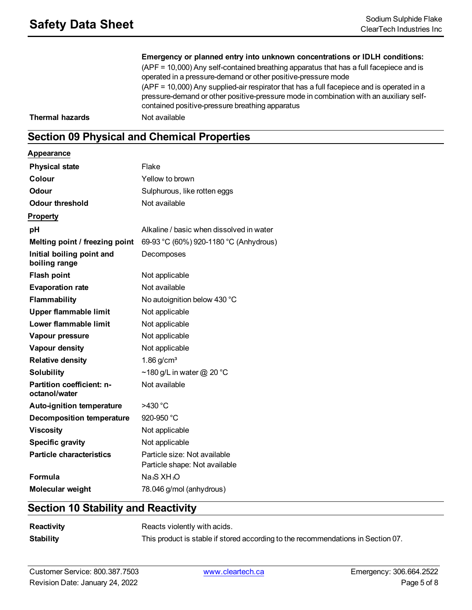**Emergency or planned entry into unknown concentrations or IDLH conditions:** (APF = 10,000) Any self-contained breathing apparatus that has a full facepiece and is operated in a pressure-demand or other positive-pressure mode (APF = 10,000) Any supplied-air respirator that has a full facepiece and is operated in a pressure-demand or other positive-pressure mode in combination with an auxiliary selfcontained positive-pressure breathing apparatus **Thermal hazards** Not available

# **Section 09 Physical and Chemical Properties**

**Appearance**

| <b>Physical state</b>                      | Flake                                                         |
|--------------------------------------------|---------------------------------------------------------------|
| Colour                                     | Yellow to brown                                               |
| Odour                                      | Sulphurous, like rotten eggs                                  |
| <b>Odour threshold</b>                     | Not available                                                 |
| <b>Property</b>                            |                                                               |
| рH                                         | Alkaline / basic when dissolved in water                      |
| Melting point / freezing point             | 69-93 °C (60%) 920-1180 °C (Anhydrous)                        |
| Initial boiling point and<br>boiling range | Decomposes                                                    |
| <b>Flash point</b>                         | Not applicable                                                |
| <b>Evaporation rate</b>                    | Not available                                                 |
| Flammability                               | No autoignition below 430 °C                                  |
| <b>Upper flammable limit</b>               | Not applicable                                                |
| Lower flammable limit                      | Not applicable                                                |
| Vapour pressure                            | Not applicable                                                |
| Vapour density                             | Not applicable                                                |
| <b>Relative density</b>                    | $1.86$ g/cm <sup>3</sup>                                      |
| <b>Solubility</b>                          | ~180 g/L in water @ 20 °C                                     |
| Partition coefficient: n-<br>octanol/water | Not available                                                 |
| <b>Auto-ignition temperature</b>           | >430 °C                                                       |
| <b>Decomposition temperature</b>           | 920-950 °C                                                    |
| <b>Viscosity</b>                           | Not applicable                                                |
| <b>Specific gravity</b>                    | Not applicable                                                |
| <b>Particle characteristics</b>            | Particle size: Not available<br>Particle shape: Not available |
| Formula                                    | Na <sub>2</sub> S XH <sub>2</sub> O                           |
| Molecular weight                           | 78.046 g/mol (anhydrous)                                      |

# **Section 10 Stability and Reactivity**

| Reactivity       | Reacts violently with acids.                                                     |
|------------------|----------------------------------------------------------------------------------|
| <b>Stability</b> | This product is stable if stored according to the recommendations in Section 07. |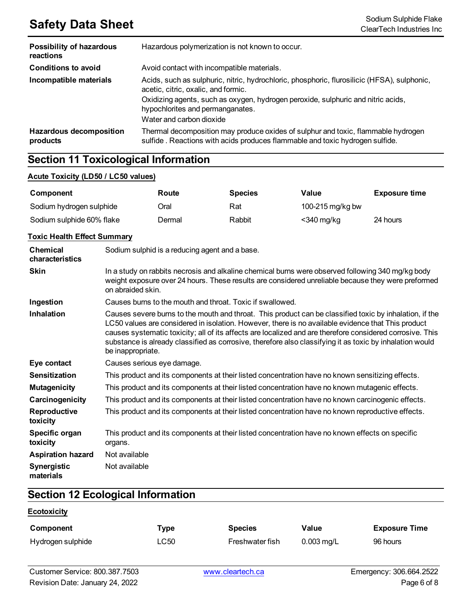# **Safety Data Sheet**<br>ClearTech Industries Inc.

| <b>Possibility of hazardous</b><br>reactions | Hazardous polymerization is not known to occur.                                                                                                                   |  |  |  |
|----------------------------------------------|-------------------------------------------------------------------------------------------------------------------------------------------------------------------|--|--|--|
| <b>Conditions to avoid</b>                   | Avoid contact with incompatible materials.                                                                                                                        |  |  |  |
| Incompatible materials                       | Acids, such as sulphuric, nitric, hydrochloric, phosphoric, flurosilicic (HFSA), sulphonic,<br>acetic, citric, oxalic, and formic.                                |  |  |  |
|                                              | Oxidizing agents, such as oxygen, hydrogen peroxide, sulphuric and nitric acids,<br>hypochlorites and permanganates.                                              |  |  |  |
|                                              | Water and carbon dioxide                                                                                                                                          |  |  |  |
| <b>Hazardous decomposition</b><br>products   | Thermal decomposition may produce oxides of sulphur and toxic, flammable hydrogen<br>sulfide. Reactions with acids produces flammable and toxic hydrogen sulfide. |  |  |  |

# **Section 11 Toxicological Information**

### **Acute Toxicity (LD50 / LC50 values)**

| Component                 | Route  | <b>Species</b> | Value            | <b>Exposure time</b> |
|---------------------------|--------|----------------|------------------|----------------------|
| Sodium hydrogen sulphide  | Oral   | Rat            | 100-215 mg/kg bw |                      |
| Sodium sulphide 60% flake | Dermal | Rabbit         | <340 mg/kg       | 24 hours             |

### **Toxic Health Effect Summary**

| <b>Chemical</b><br>characteristics | Sodium sulphid is a reducing agent and a base.                                                                                                                                                                                                                                                                                                                                                                                                              |
|------------------------------------|-------------------------------------------------------------------------------------------------------------------------------------------------------------------------------------------------------------------------------------------------------------------------------------------------------------------------------------------------------------------------------------------------------------------------------------------------------------|
| <b>Skin</b>                        | In a study on rabbits necrosis and alkaline chemical burns were observed following 340 mg/kg body<br>weight exposure over 24 hours. These results are considered unreliable because they were preformed<br>on abraided skin.                                                                                                                                                                                                                                |
| Ingestion                          | Causes burns to the mouth and throat. Toxic if swallowed.                                                                                                                                                                                                                                                                                                                                                                                                   |
| <b>Inhalation</b>                  | Causes severe burns to the mouth and throat. This product can be classified toxic by inhalation, if the<br>LC50 values are considered in isolation. However, there is no available evidence that This product<br>causes systematic toxicity; all of its affects are localized and are therefore considered corrosive. This<br>substance is already classified as corrosive, therefore also classifying it as toxic by inhalation would<br>be inappropriate. |
| Eye contact                        | Causes serious eye damage.                                                                                                                                                                                                                                                                                                                                                                                                                                  |
| <b>Sensitization</b>               | This product and its components at their listed concentration have no known sensitizing effects.                                                                                                                                                                                                                                                                                                                                                            |
| <b>Mutagenicity</b>                | This product and its components at their listed concentration have no known mutagenic effects.                                                                                                                                                                                                                                                                                                                                                              |
| Carcinogenicity                    | This product and its components at their listed concentration have no known carcinogenic effects.                                                                                                                                                                                                                                                                                                                                                           |
| Reproductive<br>toxicity           | This product and its components at their listed concentration have no known reproductive effects.                                                                                                                                                                                                                                                                                                                                                           |
| Specific organ<br>toxicity         | This product and its components at their listed concentration have no known effects on specific<br>organs.                                                                                                                                                                                                                                                                                                                                                  |
| <b>Aspiration hazard</b>           | Not available                                                                                                                                                                                                                                                                                                                                                                                                                                               |
| <b>Synergistic</b><br>materials    | Not available                                                                                                                                                                                                                                                                                                                                                                                                                                               |

# **Section 12 Ecological Information**

### **Ecotoxicity**

| Component         | Type | <b>Species</b>  | Value        | <b>Exposure Time</b> |
|-------------------|------|-----------------|--------------|----------------------|
| Hydrogen sulphide | ∟C50 | Freshwater fish | $0.003$ mg/L | 96 hours             |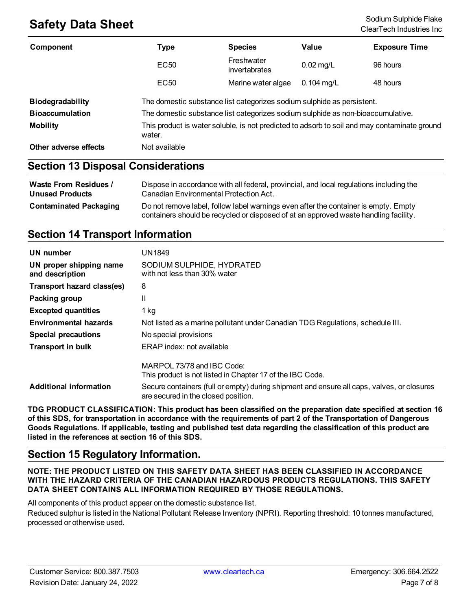# **Safety Data Sheet** Sodium Sulphide Flake Sodium Sulphide Flake Sodium Sulphide Flake Sodium Sulphide Flake Sodium Sulphide Flake Sodium Sulphide Flake Sodium Sulphide Flake Sodium Sulphide Flake Sodium Sulphide Flake Sodi

| Component               | <b>Type</b>                                                                                            | <b>Species</b>              | Value        | <b>Exposure Time</b> |
|-------------------------|--------------------------------------------------------------------------------------------------------|-----------------------------|--------------|----------------------|
|                         | <b>EC50</b>                                                                                            | Freshwater<br>invertabrates | $0.02$ mg/L  | 96 hours             |
|                         | EC <sub>50</sub>                                                                                       | Marine water algae          | $0.104$ mg/L | 48 hours             |
| <b>Biodegradability</b> | The domestic substance list categorizes sodium sulphide as persistent.                                 |                             |              |                      |
| <b>Bioaccumulation</b>  | The domestic substance list categorizes sodium sulphide as non-bioaccumulative.                        |                             |              |                      |
| <b>Mobility</b>         | This product is water soluble, is not predicted to adsorb to soil and may contaminate ground<br>water. |                             |              |                      |
| Other adverse effects   | Not available                                                                                          |                             |              |                      |
|                         |                                                                                                        |                             |              |                      |

### **Section 13 Disposal Considerations**

| Waste From Residues /         | Dispose in accordance with all federal, provincial, and local regulations including the                                                                                     |
|-------------------------------|-----------------------------------------------------------------------------------------------------------------------------------------------------------------------------|
| <b>Unused Products</b>        | Canadian Environmental Protection Act.                                                                                                                                      |
| <b>Contaminated Packaging</b> | Do not remove label, follow label warnings even after the container is empty. Empty<br>containers should be recycled or disposed of at an approved waste handling facility. |

# **Section 14 Transport Information**

| UN number                                  | UN1849                                                                                                                            |
|--------------------------------------------|-----------------------------------------------------------------------------------------------------------------------------------|
| UN proper shipping name<br>and description | SODIUM SULPHIDE, HYDRATED<br>with not less than 30% water                                                                         |
| Transport hazard class(es)                 | 8                                                                                                                                 |
| Packing group                              | Ш                                                                                                                                 |
| <b>Excepted quantities</b>                 | $1$ kg                                                                                                                            |
| <b>Environmental hazards</b>               | Not listed as a marine pollutant under Canadian TDG Regulations, schedule III.                                                    |
| <b>Special precautions</b>                 | No special provisions                                                                                                             |
| <b>Transport in bulk</b>                   | ERAP index: not available                                                                                                         |
|                                            | MARPOL 73/78 and IBC Code:<br>This product is not listed in Chapter 17 of the IBC Code.                                           |
| <b>Additional information</b>              | Secure containers (full or empty) during shipment and ensure all caps, valves, or closures<br>are secured in the closed position. |

**TDG PRODUCT CLASSIFICATION: This product has been classified on the preparation date specified at section 16** of this SDS, for transportation in accordance with the requirements of part 2 of the Transportation of Dangerous Goods Regulations. If applicable, testing and published test data regarding the classification of this product are **listed in the references at section 16 of this SDS.**

### **Section 15 Regulatory Information.**

**NOTE: THE PRODUCT LISTED ON THIS SAFETY DATA SHEET HAS BEEN CLASSIFIED IN ACCORDANCE WITH THE HAZARD CRITERIA OF THE CANADIAN HAZARDOUS PRODUCTS REGULATIONS. THIS SAFETY DATA SHEET CONTAINS ALL INFORMATION REQUIRED BY THOSE REGULATIONS.**

All components of this product appear on the domestic substance list.

Reduced sulphur is listed in the National Pollutant Release Inventory (NPRI). Reporting threshold: 10 tonnes manufactured, processed or otherwise used.